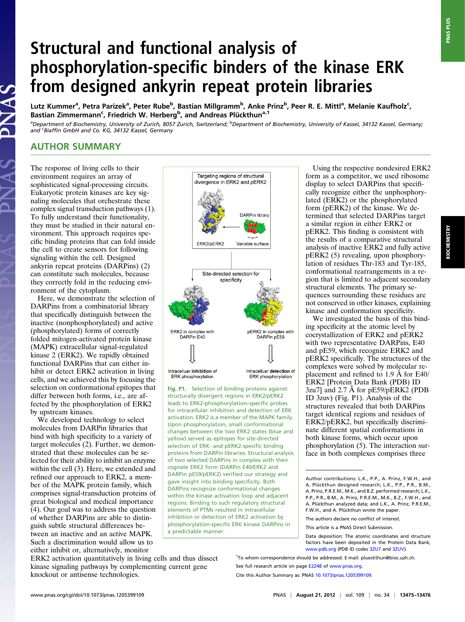## Structural and functional analysis of phosphorylation-specific binders of the kinase ERK from designed ankyrin repeat protein libraries

Lutz Kummer<sup>a</sup>, Petra Parizek<sup>a</sup>, Peter Rube<sup>b</sup>, Bastian Millgramm<sup>b</sup>, Anke Prinz<sup>b</sup>, Peer R. E. Mittl<sup>a</sup>, Melanie Kaufholz<sup>c</sup>, Bastian Zimmermann<sup>c</sup>, Friedrich W. Herberg<sup>b</sup>, and Andreas Plückthun<sup>a, 1</sup>

<sup>a</sup>Department of Biochemistry, University of Zurich, 8057 Zurich, Switzerland; <sup>b</sup>Department of Biochemistry, University of Kassel, 34132 Kassel, Germany; and <sup>c</sup>Biaffin GmbH and Co. KG, 34132 Kassel, Germany

## AUTHOR SUMMARY

The response of living cells to their environment requires an array of sophisticated signal-processing circuits. Eukaryotic protein kinases are key signaling molecules that orchestrate these complex signal transduction pathways (1). To fully understand their functionality, they must be studied in their natural environment. This approach requires specific binding proteins that can fold inside the cell to create sensors for following signaling within the cell. Designed ankyrin repeat proteins (DARPins) (2) can constitute such molecules, because they correctly fold in the reducing environment of the cytoplasm.

Here, we demonstrate the selection of DARPins from a combinatorial library that specifically distinguish between the inactive (nonphosphorylated) and active (phosphorylated) forms of correctly folded mitogen-activated protein kinase (MAPK) extracellular signal-regulated kinase 2 (ERK2). We rapidly obtained functional DARPins that can either inhibit or detect ERK2 activation in living cells, and we achieved this by focusing the selection on conformational epitopes that differ between both forms, i.e., are affected by the phosphorylation of ERK2 by upstream kinases.

We developed technology to select molecules from DARPin libraries that bind with high specificity to a variety of target molecules (2). Further, we demonstrated that these molecules can be selected for their ability to inhibit an enzyme within the cell (3). Here, we extended and refined our approach to ERK2, a member of the MAPK protein family, which comprises signal-transduction proteins of great biological and medical importance (4). Our goal was to address the question of whether DARPins are able to distinguish subtle structural differences between an inactive and an active MAPK. Such a discrimination would allow us to either inhibit or, alternatively, monitor



Fig. P1. Selection of binding proteins against structurally divergent regions in ERK2/pERK2 leads to ERK2-phosphorylation–specific probes for intracellular inhibition and detection of ERK activation. ERK2 is a member of the MAPK family. Upon phosphorylation, small conformational changes between the two ERK2 states (blue and yellow) served as epitopes for site-directed selection of ERK- and pERK2-specific binding proteins from DARPin libraries. Structural analysis of two selected DARPins in complex with their cognate ERK2 form (DARPin E40/ERK2 and DARPin pE59/pERK2) verified our strategy and gave insight into binding specificity. Both DARPins recognize conformational changes within the kinase activation loop and adjacent regions. Binding to such regulatory structural elements of PTMs resulted in intracellular inhibition or detection of ERK2 activation by phosphorylation-specific ERK kinase DARPins in a predictable manner.

Using the respective nondesired ERK2 form as a competitor, we used ribosome display to select DARPins that specifically recognize either the unphosphorylated (ERK2) or the phosphorylated form (pERK2) of the kinase. We determined that selected DARPins target a similar region in either ERK2 or pERK2. This finding is consistent with the results of a comparative structural analysis of inactive ERK2 and fully active pERK2 (5) revealing, upon phosphorylation of residues Thr-183 and Tyr-185, conformational rearrangements in a region that is limited to adjacent secondary structural elements. The primary sequences surrounding these residues are not conserved in other kinases, explaining kinase and conformation specificity.

We investigated the basis of this binding specificity at the atomic level by cocrystallization of ERK2 and pERK2 with two representative DARPins, E40 and pE59, which recognize ERK2 and pERK2 specifically. The structures of the complexes were solved by molecular replacement and refined to 1.9 Å for E40/ ERK2 [Protein Data Bank (PDB) ID 3zu7] and 2.7 Å for pE59/pERK2 (PDB ID 3zuv) (Fig. P1). Analysis of the structures revealed that both DARPins target identical regions and residues of ERK2/pERK2, but specifically discriminate different spatial conformations in both kinase forms, which occur upon phosphorylation (5). The interaction surface in both complexes comprises three

<sup>1</sup>To whom correspondence should be addressed. E-mail: [plueckthun@bioc.uzh.ch](mailto:plueckthun@bioc.uzh.ch).

See full research article on page [E2248](http://www.pnas.org/content/109/34/E2248) of [www.pnas.org](http://www.pnas.org).

Cite this Author Summary as: PNAS [10.1073/pnas.1205399109](www.pnas.org/cgi/doi/10.1073/pnas.1205399109).

**PNAS PLUS** 

knockout or antisense technologies.

ERK2 activation quantitatively in living cells and thus dissect kinase signaling pathways by complementing current gene

Author contributions: L.K., P.P., A. Prinz, F.W.H., and A. Plückthun designed research; L.K., P.P., P.R., B.M., A. Prinz, P.R.E.M., M.K., and B.Z. performed research; L.K., P.P., P.R., B.M., A. Prinz, P.R.E.M., M.K., B.Z., F.W.H., and A. Plückthun analyzed data; and L.K., A. Prinz, P.R.E.M., F.W.H., and A. Plückthun wrote the paper.

The authors declare no conflict of interest.

This article is a PNAS Direct Submission.

Data deposition: The atomic coordinates and structure factors have been deposited in the Protein Data Bank, [www.pdb.org](http://www.rcsb.org/pdb/explore/explore.do?structureId=www.pdb.org) (PDB ID codes [3ZU7](http://www.rcsb.org/pdb/explore/explore.do?structureId=3ZU7) and [3ZUV\)](http://www.rcsb.org/pdb/explore/explore.do?structureId=3ZUV).